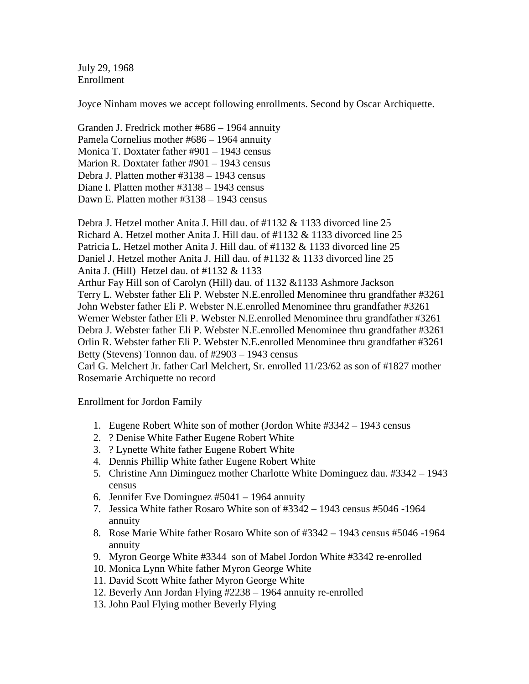July 29, 1968 Enrollment

Joyce Ninham moves we accept following enrollments. Second by Oscar Archiquette.

Granden J. Fredrick mother #686 – 1964 annuity Pamela Cornelius mother #686 – 1964 annuity Monica T. Doxtater father #901 – 1943 census Marion R. Doxtater father #901 – 1943 census Debra J. Platten mother #3138 – 1943 census Diane I. Platten mother #3138 – 1943 census Dawn E. Platten mother #3138 – 1943 census

Debra J. Hetzel mother Anita J. Hill dau. of #1132 & 1133 divorced line 25 Richard A. Hetzel mother Anita J. Hill dau. of #1132 & 1133 divorced line 25 Patricia L. Hetzel mother Anita J. Hill dau. of #1132 & 1133 divorced line 25 Daniel J. Hetzel mother Anita J. Hill dau. of #1132 & 1133 divorced line 25 Anita J. (Hill) Hetzel dau. of #1132 & 1133 Arthur Fay Hill son of Carolyn (Hill) dau. of 1132 &1133 Ashmore Jackson Terry L. Webster father Eli P. Webster N.E.enrolled Menominee thru grandfather #3261 John Webster father Eli P. Webster N.E.enrolled Menominee thru grandfather #3261 Werner Webster father Eli P. Webster N.E.enrolled Menominee thru grandfather #3261 Debra J. Webster father Eli P. Webster N.E.enrolled Menominee thru grandfather #3261 Orlin R. Webster father Eli P. Webster N.E.enrolled Menominee thru grandfather #3261 Betty (Stevens) Tonnon dau. of #2903 – 1943 census Carl G. Melchert Jr. father Carl Melchert, Sr. enrolled 11/23/62 as son of #1827 mother

Rosemarie Archiquette no record

Enrollment for Jordon Family

- 1. Eugene Robert White son of mother (Jordon White #3342 1943 census
- 2. ? Denise White Father Eugene Robert White
- 3. ? Lynette White father Eugene Robert White
- 4. Dennis Phillip White father Eugene Robert White
- 5. Christine Ann Diminguez mother Charlotte White Dominguez dau. #3342 1943 census
- 6. Jennifer Eve Dominguez #5041 1964 annuity
- 7. Jessica White father Rosaro White son of #3342 1943 census #5046 -1964 annuity
- 8. Rose Marie White father Rosaro White son of #3342 1943 census #5046 -1964 annuity
- 9. Myron George White #3344 son of Mabel Jordon White #3342 re-enrolled
- 10. Monica Lynn White father Myron George White
- 11. David Scott White father Myron George White
- 12. Beverly Ann Jordan Flying #2238 1964 annuity re-enrolled
- 13. John Paul Flying mother Beverly Flying